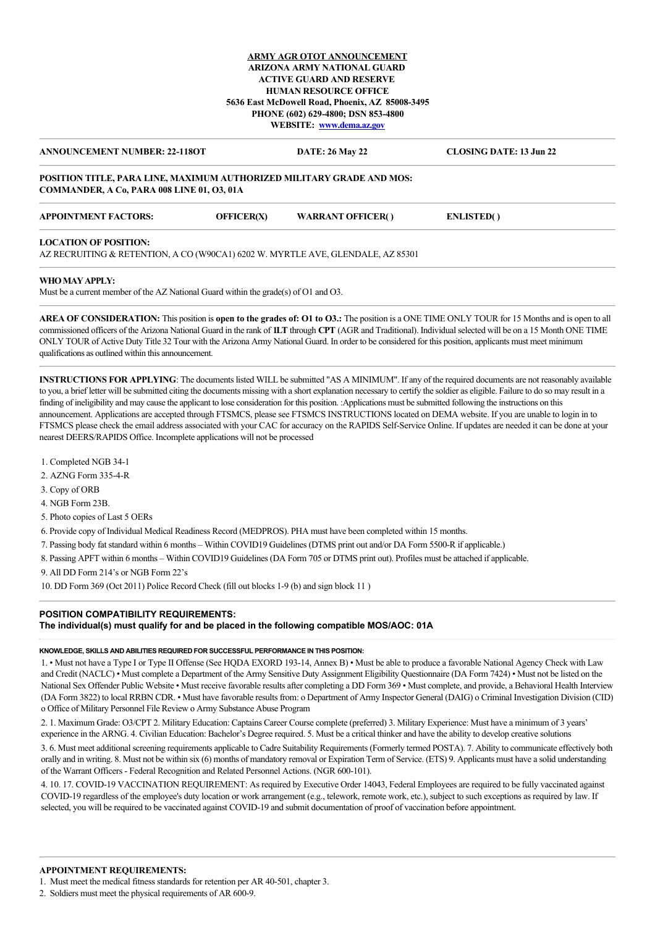## **ARMY AGR OTOT ANNOUNCEMENT ARIZONA ARMY NATIONAL GUARD ACTIVE GUARD AND RESERVE HUMAN RESOURCE OFFICE 5636 East McDowell Road, Phoenix, AZ 85008-3495 PHONE (602) 629-4800; DSN 853-4800 WEBSITE: [www.dema.az.gov](http://www.dema.az.gov/)**

**AND DATE: 26 May 22 CLOSING DATE: 13 Jun 22** 

# **POSITION TITLE, PARA LINE, MAXIMUM AUTHORIZED MILITARY GRADE AND MOS: COMMANDER, A Co, PARA 008 LINE 01, O3, 01A**

| <b>APPOINTMENT FACTORS:</b>  | <b>OFFICER(X)</b> | <b>WARRANT OFFICER()</b> | <b>ENLISTED()</b> |  |
|------------------------------|-------------------|--------------------------|-------------------|--|
| <b>LOCATION OF POSITION:</b> |                   |                          |                   |  |

AZ RECRUITING & RETENTION, A CO (W90CA1) 6202 W. MYRTLE AVE, GLENDALE, AZ 85301

#### **WHO MAY APPLY:**

Must be a current member of the AZ National Guard within the grade(s) of O1 and O3.

**AREA OF CONSIDERATION:** This position is **open to the grades of: O1 to O3.:** The position is a ONE TIME ONLY TOUR for 15 Months and is open to all commissioned officers of the Arizona National Guard in the rank of **1LT** through **CPT** (AGR and Traditional). Individual selected will be on a 15 Month ONE TIME ONLY TOUR of Active Duty Title 32 Tour with the Arizona Army National Guard. In order to be considered for this position, applicants must meet minimum qualifications as outlined within this announcement.

**INSTRUCTIONS FOR APPLYING**: The documents listed WILL be submitted "AS A MINIMUM". If any of the required documents are not reasonably available to you, a brief letter will be submitted citing the documents missing with a short explanation necessary to certify the soldier as eligible. Failure to do so may result in a finding of ineligibility and may cause the applicant to lose consideration for this position. :Applications must be submitted following the instructions on this announcement. Applications are accepted through FTSMCS, please see FTSMCS INSTRUCTIONS located on DEMA website. If you are unable to login in to FTSMCS please check the email address associated with your CAC for accuracy on the RAPIDS Self-Service Online. If updates are needed it can be done at your nearest DEERS/RAPIDS Office. Incomplete applications will not be processed

- 1. Completed NGB 34-1
- 2. AZNG Form 335-4-R
- 3. Copy of ORB
- 4. NGB Form 23B.
- 5. Photo copies of Last 5 OERs

6. Provide copy of Individual Medical Readiness Record (MEDPROS). PHA must have been completed within 15 months.

- 7. Passing body fat standard within 6 months Within COVID19 Guidelines (DTMS print out and/or DA Form 5500-R if applicable.)
- 8. Passing APFT within 6 months Within COVID19 Guidelines (DA Form 705 or DTMS print out). Profiles must be attached if applicable.

9. All DD Form 214's or NGB Form 22's

10. DD Form 369 (Oct 2011) Police Record Check (fill out blocks 1-9 (b) and sign block 11 )

# **POSITION COMPATIBILITY REQUIREMENTS:**

**The individual(s) must qualify for and be placed in the following compatible MOS/AOC: 01A**

#### **KNOWLEDGE, SKILLS AND ABILITIES REQUIRED FOR SUCCESSFUL PERFORMANCE IN THIS POSITION:**

1. • Must not have a Type I or Type II Offense (See HQDA EXORD 193-14, Annex B) • Must be able to produce a favorable National Agency Check with Law and Credit (NACLC) • Must complete a Department of the Army Sensitive Duty Assignment Eligibility Questionnaire (DA Form 7424) • Must not be listed on the National Sex Offender Public Website • Must receive favorable results after completing a DD Form 369 • Must complete, and provide, a Behavioral Health Interview (DA Form 3822) to local RRBN CDR. • Must have favorable results from: o Department of Army Inspector General (DAIG) o Criminal Investigation Division (CID) o Office of Military Personnel File Review o Army Substance Abuse Program

2. 1. Maximum Grade: O3/CPT 2. Military Education: Captains Career Course complete (preferred) 3. Military Experience: Must have a minimum of 3 years' experience in the ARNG. 4. Civilian Education: Bachelor's Degree required. 5. Must be a critical thinker and have the ability to develop creative solutions

3. 6. Must meet additional screening requirements applicable to Cadre Suitability Requirements (Formerly termed POSTA). 7. Ability to communicate effectively both orally and in writing. 8. Must not be within six (6) months of mandatory removal or Expiration Term of Service. (ETS) 9. Applicants must have a solid understanding of the Warrant Officers - Federal Recognition and Related Personnel Actions. (NGR 600-101).

4. 10. 17. COVID-19 VACCINATION REQUIREMENT: As required by Executive Order 14043, Federal Employees are required to be fully vaccinated against COVID-19 regardless of the employee's duty location or work arrangement (e.g., telework, remote work, etc.), subject to such exceptions as required by law. If selected, you will be required to be vaccinated against COVID-19 and submit documentation of proof of vaccination before appointment.

1. Must meet the medical fitness standards for retention per AR 40-501, chapter 3.

2. Soldiers must meet the physical requirements of AR 600-9.